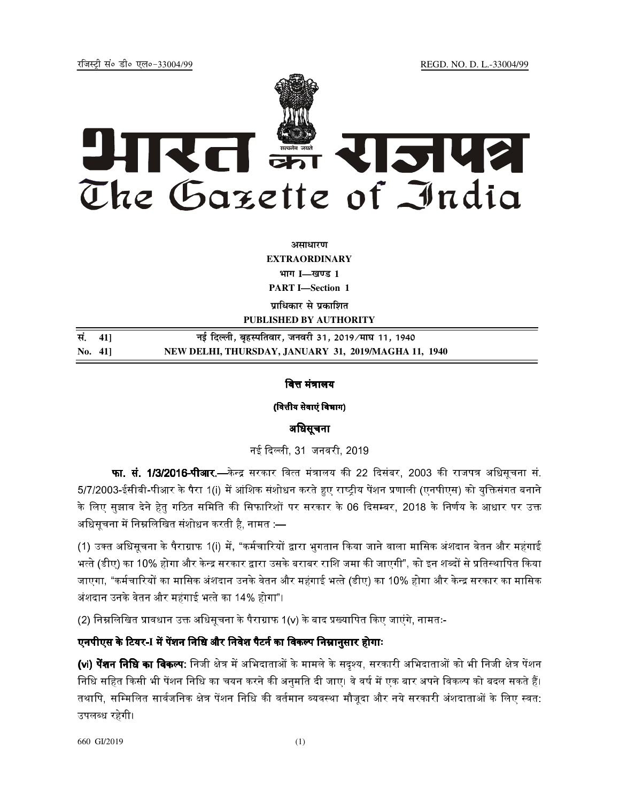jftLVªh laö Mhö ,yö&33004@99 REGD. NO. D. L.-33004/99



असाधार**ण EXTRAORDINARY Hkkx I—[k.M 1 PART I—Section 1** 

**पाधिकार से प्रकाशित PUBLISHED BY AUTHORITY**

<u>Randal 11, 1940 and the Freeding state of the Barceline State 11, 1940</u> **No. 41] NEW DELHI, THURSDAY, JANUARY 31, 2019/MAGHA 11, 1940**

## वित्त मंत्रालय

(वित्तीय सेवाएं विभाग)

### अधिसूचना

नई दिल्ली. 31 जनवरी. 2019.

**फा. सं. 1/3/2016-पीआर**.—केन्द्र सरकार वित्त मंत्रालय की 22 दिसंबर. 2003 की राजपत्र अधिसचना सं. 5/7/2003-ईसीबी-पीआर के पैरा 1(i) में आंशिक संशोधन करते हुए राष्टीय पेंशन प्रणाली (एनपीएस) को यक्तिसंगत बनाने ' के लिए सझाव देने हेत गठित समिति की सिफारिशों पर सरकार के 06 दिसम्बर. 2018 के निर्णय के आधार पर उक्त अधिसचना में निम्नलिखित संशोधन करती है. नामत :—

(1) उक्त अधिसूचना के पैराग्राफ 1(i) में, "कर्मचारियों द्वारा भुगतान किया जाने वाला मासिक अंशदान वेतन और महंगाई भत्ते (डीए) का 10% होगा और केन्द्र सरकार द्वारा उसके बराबर राशि जमा की जाएगी". को इन शब्दों से प्रतिस्थापित किया जाएगा, "कर्मचारियों का मासिक अंशदान उनके वेतन और महंगाई भत्ते (डीए) का 10% होगा और केन्द्र सरकार का मासिक अंशदान उनके वेतन और महंगाई भत्ते का 14% होगा"।

(2) निम्नलिखित प्रावधान उक्त अधिसचना के पैराग्राफ 1(v) के बाद प्रख्यापित किए जाएंगे, नामतः-

# एनपीएस के टियर-I में पेंशन नि<mark>धि औ</mark>र निवेश पैटर्न का विकल्प निम्नानुसार होगाः

**(<sub>v</sub>i) पेंशन निधि का विकल्प:** निजी क्षेत्र में अभिदाताओं के मामले के सदश्य, सरकारी अभिदाताओं को भी निजी क्षेत्र पेंशन निधि सहित किसी भी पेंशन निधि का चयन करने की अनमति दी जाए। वे वर्ष में एक बार अपने विकल्प को बदल सकते हैं। तथापि. सम्मिलित सार्वजनिक क्षेत्र पेंशन निधि की वर्तमान व्यवस्था मौजदा और नये सरकारी अंशदाताओं के लिए स्वत: उपलब्ध रहेगी।

660 GI/2019 (1)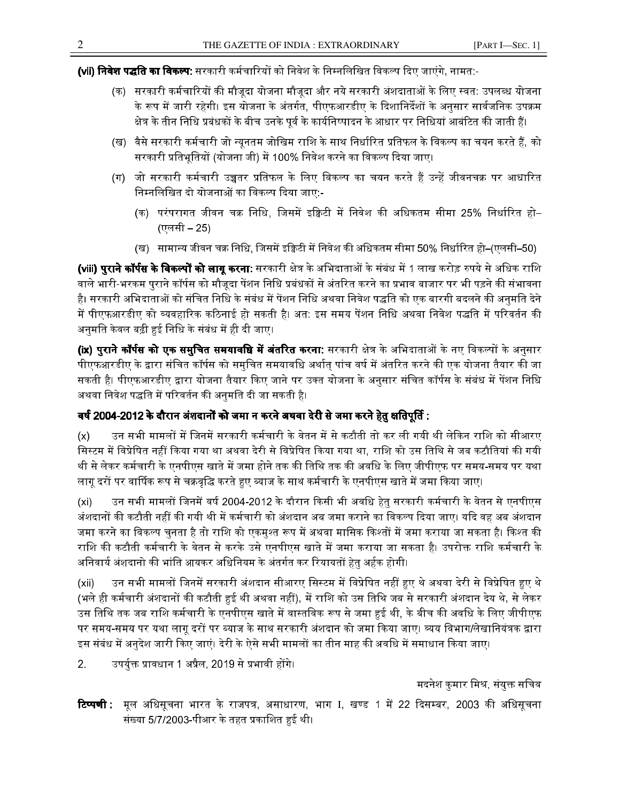**(vii) निवेश पद्धति का विकल्प:** सरकारी कर्मचारियों को निवेश के निम्नलिखित विकल्प दिए जाएंगे, नामत:-

- (क) सरकारी कर्मचारियों की मौजदा योजना मौजदा और नये सरकारी अंशदाताओं के लिए स्वत: उपलब्ध योजना के रूप में जारी रहेगी। इस योजना के अंतर्गत. पीएफआरडीए के दिशानिर्देशों के अनसार सार्वजनिक उपक्रम क्षेत्र के तीन निधि प्रबंधकों के बीच उनके पर्व के कार्यनिष्पादन के आधार पर निधियां आबंटित की जाती हैं।
- (ख) वैसे सरकारी कर्मचारी जो न्यनतम जोखिम राशि के साथ निर्धारित प्रतिफल के विकल्प का चयन करते हैं. को सरकारी प्रतिभतियों (योजना जी) में 100% निवेश करने का विकल्प दिया जाए।
- (ग) जो सरकारी कर्मचारी उच्चतर प्रतिफल के लिए विकल्प का चयन करते हैं उन्हें जीवनचक्र पर आधारित निम्नलिखित दो योजनाओं का विकल्प दिया जाए:-
	- (क) परंपरागत जीवन चक्र निधि. जिसमें इक्रिटी में निवेश की अधिकतम सीमा 25% निर्धारित हो– (एलसी – 25)
	- (ख) सामान्य जीवन चक्र निधि. जिसमें इक्विटी में निवेश की अधिकतम सीमा 50% निर्धारित हो–(एलसी–50)

**(viii) पराने कॉर्पस के विकल्पों को लाग करना**: सरकारी क्षेत्र के अभिदाताओं के संबंध में 1 लाख करोड़ रुपये से अधिक राशि वाले भारी-भरकम पुराने कॉर्पस को मौजूदा पेंशन निधि प्रबंधकों से अंतरित करने का प्रभाव बाजार पर भी पड़ने की संभावना है। सरकारी अभिदाताओं को संचित निधि के संबंध में पेंशन निधि अथवा निवेश पद्धति को एक बारगी बदलने की अनमति देने ' में पीएफआरडीए को व्यवहारिक कठिनाई हो सकती है। अत: इस समय पेंशन निधि अथवा निवेश पद्धति में परिवर्तन की अनुमति केवल बढ़ी हुई निधि के संबंध में ही दी जाए।

**(ix) पराने कॉर्पस को एक समचित समयावधि में अंतरित करना**: सरकारी क्षेत्र के अभिदाताओं के नए विकल्पों के अनसार पीएफआरडीए के द्वारा संचित कॉर्पस को समुचित समयावधि अर्थात् पांच वर्ष में अंतरित करने की एक योजना तैयार की जा सकती है। पीएफआरडीए द्वारा योजना तैयार किए जाने पर उक्त योजना के अनुसार संचित कॉर्पस के संबंध में पेंशन निधि अथवा निवेश पद्धति में परिवर्तन की अनमति दी जा सकती है।

# वर्ष 2004-2012 के दौरान अंशदानों को जमा न करने अथवा देरी से जमा करने हेत क्षतिपर्ति :

(x) उन सभी मामलों में जिनमें सरकारी कर्मचारी के वेतन में से कटौती तो कर ली गयी थी लेकिन राशि को सीआरए सिस्टम में विप्रेषित नहीं किया गया था अथवा देरी से विप्रेषित किया गया था. राशि को उस तिथि से जब कटौतियां की गयी थी से लेकर कर्मचारी के एनपीएस खाते में जमा होने तक की तिथि तक की अवधि के लिए जीपीएफ पर समय-समय पर यथा लाग दरों पर वार्षिक रूप से चक्रवद्धि करते हुए ब्याज के साथ कर्मचारी के एनपीएस खाते में जमा किया जाए।

(xi) उन सभी मामलों जिनमें वर्ष 2004-2012 के दौरान किसी भी अवधि हेत सरकारी कर्मचारी के वेतन से एनपीएस अंशदानों की कटौती नहीं की गयी थी में कर्मचारी को अंशदान अब जमा कराने का विकल्प दिया जाए। यदि वह अब अंशदान जमा करने का विकल्प चनता है तो राशि को एकमश्त रूप में अथवा मासिक किश्तों में जमा कराया जा सकता है। किश्त की राशि की कटौती कर्मचारी के वेतन से करके उसे एनपीएस खाते में जमा कराया जा सकता है। उपरोक्त राशि कर्मचारी के अनिवार्य अंशदानो की भांति आयकर अधिनियम के अंतर्गत कर रियायतों हेत अर्हक होगी।

(xii) उन सभी मामलों जिनमें सरकारी अंशदान सीआरए सिस्टम में विप्रेषित नहीं हए थे अथवा देरी से विप्रेषित हए थे (भले ही कर्मचारी अंशदानों की कटौती हुई थी अथवा नहीं). में राशि को उस तिथि जब से सरकारी अंशदान देय थे, से लेकर उस तिथि तक जब राशि कर्मचारी के एनपीएस खाते में वास्तविक रूप से जमा हुई थी, के बीच की अवधि के लिए जीपीएफ पर समय-समय पर यथा लाग दरों पर ब्याज के साथ सरकारी अंशदान को जमा किया जाए। व्यय विभाग/लेखानियंत्रक द्वारा इस संबंध में अनुदेश जारी किए जाएं। देरी के ऐसे सभी मामलों का तीन माह की अवधि में समाधान किया जाए।

2. उपर्युक्त प्रावधान 1 अप्रैल, 2019 से प्रभावी होंगे।

# मदनेश कमार मिश्र, संयक्त सचिव<sup>्</sup>

टिप्पणी : <mark>टेप्पणी :</mark> मूल अधिसूचना भारत के राजपत्र, असाधारण, भाग I, खण्ड 1 में 22 दिसम्बर, 2003 की अधिसूचना संख्या 5/7/2003-पीआर के तहत प्रकाशित हई थी।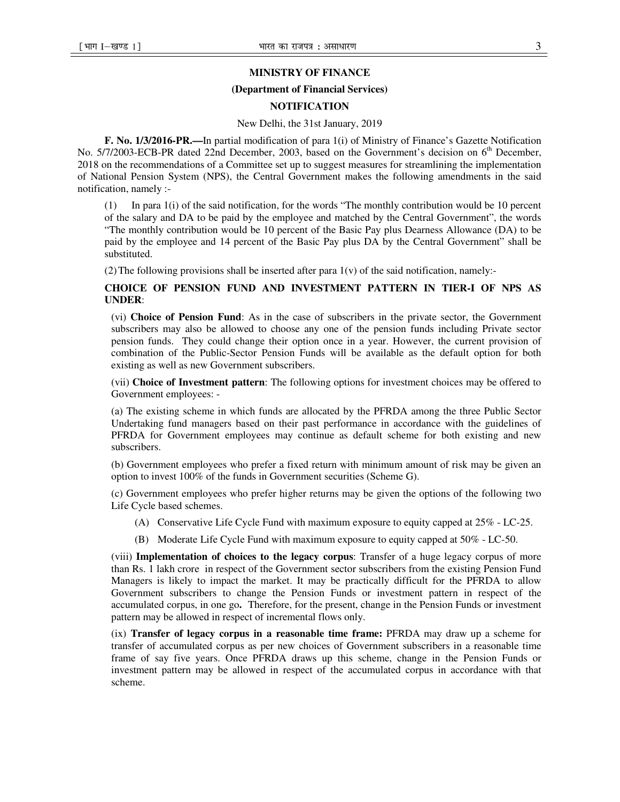### **MINISTRY OF FINANCE**

#### **(Department of Financial Services)**

#### **NOTIFICATION**

#### New Delhi, the 31st January, 2019

**F. No. 1/3/2016-PR.—**In partial modification of para 1(i) of Ministry of Finance's Gazette Notification No. 5/7/2003-ECB-PR dated 22nd December, 2003, based on the Government's decision on 6<sup>th</sup> December, 2018 on the recommendations of a Committee set up to suggest measures for streamlining the implementation of National Pension System (NPS), the Central Government makes the following amendments in the said notification, namely :-

(1) In para 1(i) of the said notification, for the words "The monthly contribution would be 10 percent of the salary and DA to be paid by the employee and matched by the Central Government", the words "The monthly contribution would be 10 percent of the Basic Pay plus Dearness Allowance (DA) to be paid by the employee and 14 percent of the Basic Pay plus DA by the Central Government" shall be substituted.

(2) The following provisions shall be inserted after para  $1(v)$  of the said notification, namely:-

#### **CHOICE OF PENSION FUND AND INVESTMENT PATTERN IN TIER-I OF NPS AS UNDER**:

(vi) **Choice of Pension Fund**: As in the case of subscribers in the private sector, the Government subscribers may also be allowed to choose any one of the pension funds including Private sector pension funds. They could change their option once in a year. However, the current provision of combination of the Public-Sector Pension Funds will be available as the default option for both existing as well as new Government subscribers.

(vii) **Choice of Investment pattern**: The following options for investment choices may be offered to Government employees: -

(a) The existing scheme in which funds are allocated by the PFRDA among the three Public Sector Undertaking fund managers based on their past performance in accordance with the guidelines of PFRDA for Government employees may continue as default scheme for both existing and new subscribers.

(b) Government employees who prefer a fixed return with minimum amount of risk may be given an option to invest 100% of the funds in Government securities (Scheme G).

(c) Government employees who prefer higher returns may be given the options of the following two Life Cycle based schemes.

- (A) Conservative Life Cycle Fund with maximum exposure to equity capped at 25% LC-25.
- (B) Moderate Life Cycle Fund with maximum exposure to equity capped at 50% LC-50.

(viii) **Implementation of choices to the legacy corpus**: Transfer of a huge legacy corpus of more than Rs. 1 lakh crore in respect of the Government sector subscribers from the existing Pension Fund Managers is likely to impact the market. It may be practically difficult for the PFRDA to allow Government subscribers to change the Pension Funds or investment pattern in respect of the accumulated corpus, in one go**.** Therefore, for the present, change in the Pension Funds or investment pattern may be allowed in respect of incremental flows only.

(ix) **Transfer of legacy corpus in a reasonable time frame:** PFRDA may draw up a scheme for transfer of accumulated corpus as per new choices of Government subscribers in a reasonable time frame of say five years. Once PFRDA draws up this scheme, change in the Pension Funds or investment pattern may be allowed in respect of the accumulated corpus in accordance with that scheme.